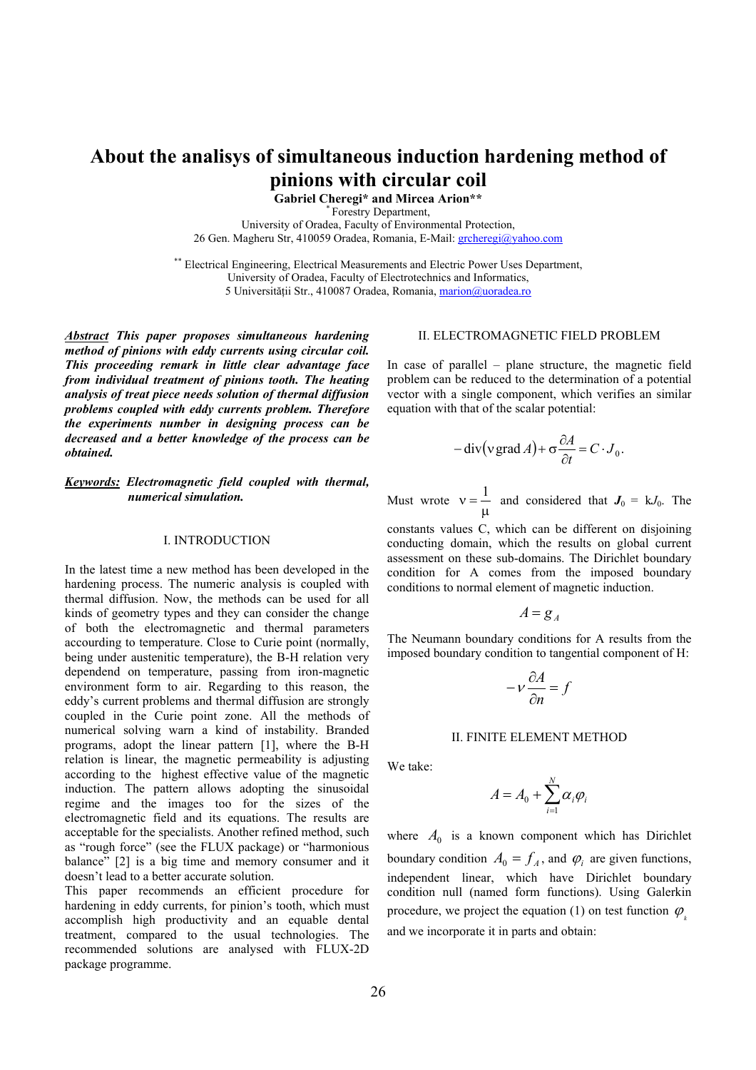# **About the analisys of simultaneous induction hardening method of pinions with circular coil**

Gabriel Cheregi\* and Mircea Arion\*\*<br>\* Forestry Department,

University of Oradea, Faculty of Environmental Protection, 26 Gen. Magheru Str, 410059 Oradea, Romania, E-Mail: grcheregi@yahoo.com

\*\* Electrical Engineering, Electrical Measurements and Electric Power Uses Department, University of Oradea, Faculty of Electrotechnics and Informatics, 5 Universității Str., 410087 Oradea, Romania, marion@uoradea.ro

*Abstract This paper proposes simultaneous hardening method of pinions with eddy currents using circular coil. This proceeding remark in little clear advantage face from individual treatment of pinions tooth. The heating analysis of treat piece needs solution of thermal diffusion problems coupled with eddy currents problem. Therefore the experiments number in designing process can be decreased and a better knowledge of the process can be obtained.*

# *Keywords: Electromagnetic field coupled with thermal, numerical simulation.*

## I. INTRODUCTION

In the latest time a new method has been developed in the hardening process. The numeric analysis is coupled with thermal diffusion. Now, the methods can be used for all kinds of geometry types and they can consider the change of both the electromagnetic and thermal parameters accourding to temperature. Close to Curie point (normally, being under austenitic temperature), the B-H relation very dependend on temperature, passing from iron-magnetic environment form to air. Regarding to this reason, the eddy's current problems and thermal diffusion are strongly coupled in the Curie point zone. All the methods of numerical solving warn a kind of instability. Branded programs, adopt the linear pattern [1], where the B-H relation is linear, the magnetic permeability is adjusting according to the highest effective value of the magnetic induction. The pattern allows adopting the sinusoidal regime and the images too for the sizes of the electromagnetic field and its equations. The results are acceptable for the specialists. Another refined method, such as "rough force" (see the FLUX package) or "harmonious balance" [2] is a big time and memory consumer and it doesn't lead to a better accurate solution.

This paper recommends an efficient procedure for hardening in eddy currents, for pinion's tooth, which must accomplish high productivity and an equable dental treatment, compared to the usual technologies. The recommended solutions are analysed with FLUX-2D package programme.

#### II. ELECTROMAGNETIC FIELD PROBLEM

In case of parallel – plane structure, the magnetic field problem can be reduced to the determination of a potential vector with a single component, which verifies an similar equation with that of the scalar potential:

$$
-\operatorname{div}(\mathbf{v}\operatorname{grad} A)+\sigma\frac{\partial A}{\partial t}=C\cdot J_0.
$$

Must wrote  $v = \frac{1}{\mu}$  and considered that  $J_0 = kJ_0$ . The

constants values C, which can be different on disjoining conducting domain, which the results on global current assessment on these sub-domains. The Dirichlet boundary condition for A comes from the imposed boundary conditions to normal element of magnetic induction.

$$
A = g_A
$$

The Neumann boundary conditions for A results from the imposed boundary condition to tangential component of H:

$$
-v\frac{\partial A}{\partial n} = f
$$

#### II. FINITE ELEMENT METHOD

We take:

$$
A = A_0 + \sum_{i=1}^{N} \alpha_i \varphi_i
$$

where  $A_0$  is a known component which has Dirichlet boundary condition  $A_0 = f_A$ , and  $\varphi_i$  are given functions, independent linear, which have Dirichlet boundary condition null (named form functions). Using Galerkin procedure, we project the equation (1) on test function  $\varphi$ and we incorporate it in parts and obtain: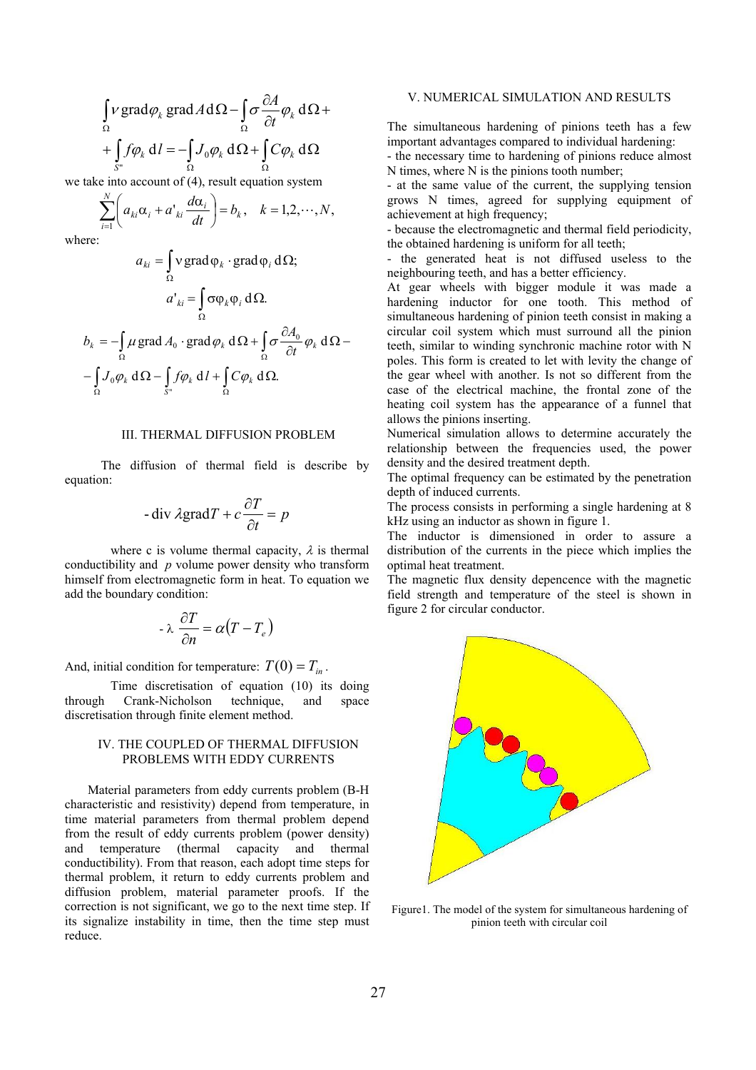$$
\int_{\Omega} V \operatorname{grad} \varphi_k \operatorname{grad} A \, d\Omega - \int_{\Omega} \sigma \frac{\partial A}{\partial t} \varphi_k \, d\Omega +
$$
  
+ 
$$
\int_{S^*} f \varphi_k \, dI = -\int_{\Omega} J_0 \varphi_k \, d\Omega + \int_{\Omega} C \varphi_k \, d\Omega
$$

we take into account of (4), result equation system

$$
\sum_{i=1}^N \left( a_{ki} \alpha_i + a_{ki} \frac{d\alpha_i}{dt} \right) = b_k, \quad k = 1, 2, \cdots, N,
$$

where:

$$
a_{ki} = \int_{\Omega} v \operatorname{grad} \varphi_k \cdot \operatorname{grad} \varphi_i d\Omega;
$$
  

$$
a'_{ki} = \int_{\Omega} \sigma \varphi_k \varphi_i d\Omega.
$$
  

$$
b_k = -\int_{\Omega} \mu \operatorname{grad} A_0 \cdot \operatorname{grad} \varphi_k d\Omega + \int_{\Omega} \sigma \frac{\partial A_0}{\partial t} \varphi_k d\Omega -
$$
  

$$
-\int_{\Omega} J_0 \varphi_k d\Omega - \int_{S^*} f \varphi_k dI + \int_{\Omega} C \varphi_k d\Omega.
$$

#### III. THERMAL DIFFUSION PROBLEM

The diffusion of thermal field is describe by equation:

- div 
$$
\lambda
$$
gradT +  $c \frac{\partial T}{\partial t} = p$ 

where c is volume thermal capacity,  $\lambda$  is thermal conductibility and *p* volume power density who transform himself from electromagnetic form in heat. To equation we add the boundary condition:

$$
-\lambda \frac{\partial T}{\partial n} = \alpha (T - T_e)
$$

And, initial condition for temperature:  $T(0) = T_{in}$ .

 Time discretisation of equation (10) its doing through Crank-Nicholson technique, and space discretisation through finite element method.

## IV. THE COUPLED OF THERMAL DIFFUSION PROBLEMS WITH EDDY CURRENTS

Material parameters from eddy currents problem (B-H characteristic and resistivity) depend from temperature, in time material parameters from thermal problem depend from the result of eddy currents problem (power density) and temperature (thermal capacity and thermal conductibility). From that reason, each adopt time steps for thermal problem, it return to eddy currents problem and diffusion problem, material parameter proofs. If the correction is not significant, we go to the next time step. If its signalize instability in time, then the time step must reduce.

### V. NUMERICAL SIMULATION AND RESULTS

The simultaneous hardening of pinions teeth has a few important advantages compared to individual hardening: - the necessary time to hardening of pinions reduce almost

N times, where N is the pinions tooth number; - at the same value of the current, the supplying tension

grows N times, agreed for supplying equipment of achievement at high frequency;

- because the electromagnetic and thermal field periodicity, the obtained hardening is uniform for all teeth;

- the generated heat is not diffused useless to the neighbouring teeth, and has a better efficiency.

At gear wheels with bigger module it was made a hardening inductor for one tooth. This method of simultaneous hardening of pinion teeth consist in making a circular coil system which must surround all the pinion teeth, similar to winding synchronic machine rotor with N poles. This form is created to let with levity the change of the gear wheel with another. Is not so different from the case of the electrical machine, the frontal zone of the heating coil system has the appearance of a funnel that allows the pinions inserting.

Numerical simulation allows to determine accurately the relationship between the frequencies used, the power density and the desired treatment depth.

The optimal frequency can be estimated by the penetration depth of induced currents.

The process consists in performing a single hardening at 8 kHz using an inductor as shown in figure 1.

The inductor is dimensioned in order to assure a distribution of the currents in the piece which implies the optimal heat treatment.

The magnetic flux density depencence with the magnetic field strength and temperature of the steel is shown in figure 2 for circular conductor.



Figure1. The model of the system for simultaneous hardening of pinion teeth with circular coil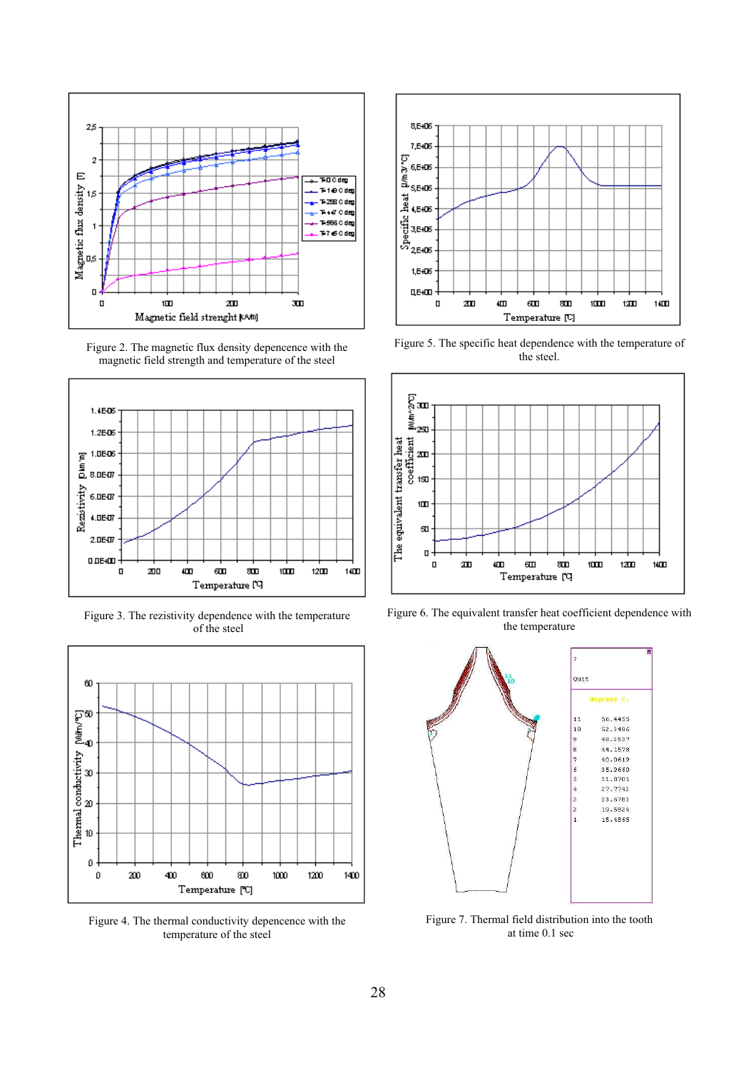

Figure 2. The magnetic flux density depencence with the magnetic field strength and temperature of the steel



Figure 3. The rezistivity dependence with the temperature of the steel



Figure 4. The thermal conductivity depencence with the temperature of the steel



Figure 5. The specific heat dependence with the temperature of the steel.



Figure 6. The equivalent transfer heat coefficient dependence with the temperature



Figure 7. Thermal field distribution into the tooth at time 0.1 sec